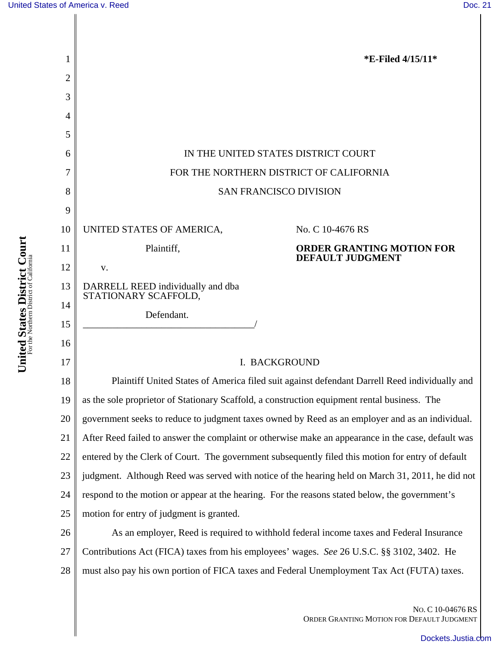|    | *E-Filed 4/15/11*                                                                                  |
|----|----------------------------------------------------------------------------------------------------|
| 2  |                                                                                                    |
| 3  |                                                                                                    |
| 4  |                                                                                                    |
| 5  |                                                                                                    |
| 6  | IN THE UNITED STATES DISTRICT COURT                                                                |
| 7  | FOR THE NORTHERN DISTRICT OF CALIFORNIA                                                            |
| 8  | <b>SAN FRANCISCO DIVISION</b>                                                                      |
| 9  |                                                                                                    |
| 10 | UNITED STATES OF AMERICA,<br>No. C 10-4676 RS                                                      |
| 11 | Plaintiff,<br><b>ORDER GRANTING MOTION FOR</b><br><b>DEFAULT JUDGMENT</b>                          |
| 12 | V.                                                                                                 |
| 13 | DARRELL REED individually and dba<br>STATIONARY SCAFFOLD,                                          |
| 14 | Defendant.                                                                                         |
| 15 |                                                                                                    |
| 16 |                                                                                                    |
| 17 | <b>I. BACKGROUND</b>                                                                               |
| 18 | Plaintiff United States of America filed suit against defendant Darrell Reed individually and      |
| 19 | as the sole proprietor of Stationary Scaffold, a construction equipment rental business. The       |
| 20 | government seeks to reduce to judgment taxes owned by Reed as an employer and as an individual.    |
| 21 | After Reed failed to answer the complaint or otherwise make an appearance in the case, default was |
| 22 | entered by the Clerk of Court. The government subsequently filed this motion for entry of default  |
| 23 | judgment. Although Reed was served with notice of the hearing held on March 31, 2011, he did not   |
| 24 | respond to the motion or appear at the hearing. For the reasons stated below, the government's     |
| 25 | motion for entry of judgment is granted.                                                           |
| 26 | As an employer, Reed is required to withhold federal income taxes and Federal Insurance            |
| 27 | Contributions Act (FICA) taxes from his employees' wages. See 26 U.S.C. §§ 3102, 3402. He          |
| 28 | must also pay his own portion of FICA taxes and Federal Unemployment Tax Act (FUTA) taxes.         |

NO. C 10-04676 RS ORDER GRANTING MOTION FOR DEFAULT JUDGMENT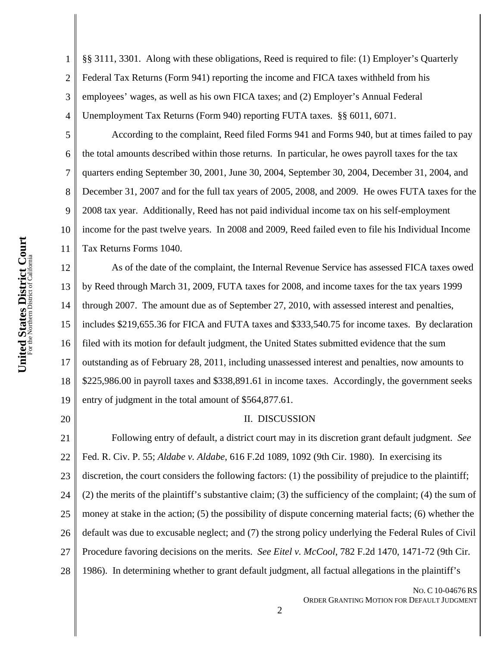2 3 4 §§ 3111, 3301. Along with these obligations, Reed is required to file: (1) Employer's Quarterly Federal Tax Returns (Form 941) reporting the income and FICA taxes withheld from his employees' wages, as well as his own FICA taxes; and (2) Employer's Annual Federal Unemployment Tax Returns (Form 940) reporting FUTA taxes. §§ 6011, 6071.

According to the complaint, Reed filed Forms 941 and Forms 940, but at times failed to pay the total amounts described within those returns. In particular, he owes payroll taxes for the tax quarters ending September 30, 2001, June 30, 2004, September 30, 2004, December 31, 2004, and December 31, 2007 and for the full tax years of 2005, 2008, and 2009. He owes FUTA taxes for the 2008 tax year. Additionally, Reed has not paid individual income tax on his self-employment income for the past twelve years. In 2008 and 2009, Reed failed even to file his Individual Income Tax Returns Forms 1040.

12 13 14 15 16 17 18 19 As of the date of the complaint, the Internal Revenue Service has assessed FICA taxes owed by Reed through March 31, 2009, FUTA taxes for 2008, and income taxes for the tax years 1999 through 2007. The amount due as of September 27, 2010, with assessed interest and penalties, includes \$219,655.36 for FICA and FUTA taxes and \$333,540.75 for income taxes. By declaration filed with its motion for default judgment, the United States submitted evidence that the sum outstanding as of February 28, 2011, including unassessed interest and penalties, now amounts to \$225,986.00 in payroll taxes and \$338,891.61 in income taxes. Accordingly, the government seeks entry of judgment in the total amount of \$564,877.61.

20

1

5

6

7

8

9

10

11

## II. DISCUSSION

21 22 23 24 25 26 27 28 Following entry of default, a district court may in its discretion grant default judgment. *See* Fed. R. Civ. P. 55; *Aldabe v. Aldabe*, 616 F.2d 1089, 1092 (9th Cir. 1980). In exercising its discretion, the court considers the following factors: (1) the possibility of prejudice to the plaintiff; (2) the merits of the plaintiff's substantive claim; (3) the sufficiency of the complaint; (4) the sum of money at stake in the action; (5) the possibility of dispute concerning material facts; (6) whether the default was due to excusable neglect; and (7) the strong policy underlying the Federal Rules of Civil Procedure favoring decisions on the merits. *See Eitel v. McCool*, 782 F.2d 1470, 1471-72 (9th Cir. 1986). In determining whether to grant default judgment, all factual allegations in the plaintiff's